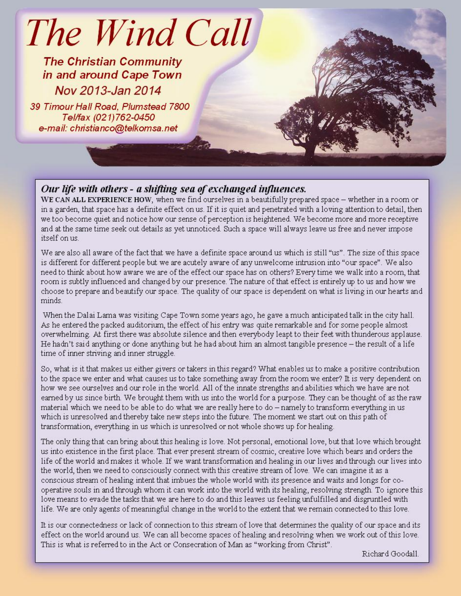# The Wind Call

**The Christian Community** in and around Cape Town Nov 2013-Jan 2014

39 Timour Hall Road, Plumstead 7800 Tel/fax (021)762-0450 e-mail: christianco@telkomsa.net

## Our life with others - a shifting sea of exchanged influences.

WE CAN ALL EXPERIENCE HOW, when we find ourselves in a beautifully prepared space – whether in a room or in a garden, that space has a definite effect on us. If it is quiet and penetrated with a loving attention to detail, then we too become quiet and notice how our sense of perception is heightened. We become more and more receptive and at the same time seek out details as yet unnoticed. Such a space will always leave us free and never impose itself on us.

We are also all aware of the fact that we have a definite space around us which is still "us". The size of this space is different for different people but we are acutely aware of any unwelcome intrusion into "our space". We also need to think about how aware we are of the effect our space has on others? Every time we walk into a room, that room is subtly influenced and changed by our presence. The nature of that effect is entirely up to us and how we choose to prepare and beautify our space. The quality of our space is dependent on what is living in our hearts and minds

When the Dalai Lama was visiting Cape Town some years ago, he gave a much anticipated talk in the city hall. As he entered the packed auditorium, the effect of his entry was quite remarkable and for some people almost overwhelming. At first there was absolute silence and then everybody leapt to their feet with thunderous applause. He hadn't said anything or done anything but he had about him an almost tangible presence – the result of a life time of inner striving and inner struggle.

So, what is it that makes us either givers or takers in this regard? What enables us to make a positive contribution to the space we enter and what causes us to take something away from the room we enter? It is very dependent on how we see ourselves and our role in the world. All of the innate strengths and abilities which we have are not earned by us since birth. We brought them with us into the world for a purpose. They can be thought of as the raw material which we need to be able to do what we are really here to do – namely to transform everything in us which is unresolved and thereby take new steps into the future. The moment we start out on this path of transformation, everything in us which is unresolved or not whole shows up for healing.

The only thing that can bring about this healing is love. Not personal, emotional love, but that love which brought us into existence in the first place. That ever present stream of cosmic, creative love which bears and orders the life of the world and makes it whole. If we want transformation and healing in our lives and through our lives into the world, then we need to consciously connect with this creative stream of love. We can imagine it as a conscious stream of healing intent that imbues the whole world with its presence and waits and longs for cooperative souls in and through whom it can work into the world with its healing, resolving strength. To ignore this love means to evade the tasks that we are here to do and this leaves us feeling unfulfilled and disgruntled with life. We are only agents of meaningful change in the world to the extent that we remain connected to this love.

It is our connectedness or lack of connection to this stream of love that determines the quality of our space and its effect on the world around us. We can all become spaces of healing and resolving when we work out of this love. This is what is referred to in the Act or Consecration of Man as "working from Christ".

Richard Goodall.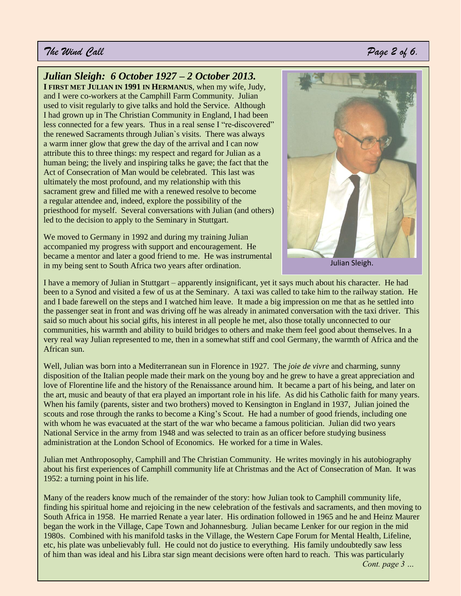#### *The Wind Call Page 2 of 6.*

#### *Julian Sleigh: 6 October 1927 – 2 October 2013.*

**I FIRST MET JULIAN IN 1991 IN HERMANUS**, when my wife, Judy, and I were co-workers at the Camphill Farm Community. Julian used to visit regularly to give talks and hold the Service. Although I had grown up in The Christian Community in England, I had been less connected for a few years. Thus in a real sense I "re-discovered" the renewed Sacraments through Julian`s visits. There was always a warm inner glow that grew the day of the arrival and I can now attribute this to three things: my respect and regard for Julian as a human being; the lively and inspiring talks he gave; the fact that the Act of Consecration of Man would be celebrated. This last was ultimately the most profound, and my relationship with this sacrament grew and filled me with a renewed resolve to become a regular attendee and, indeed, explore the possibility of the priesthood for myself. Several conversations with Julian (and others) led to the decision to apply to the Seminary in Stuttgart.

We moved to Germany in 1992 and during my training Julian accompanied my progress with support and encouragement. He became a mentor and later a good friend to me. He was instrumental in my being sent to South Africa two years after ordination.



I have a memory of Julian in Stuttgart – apparently insignificant, yet it says much about his character. He had been to a Synod and visited a few of us at the Seminary. A taxi was called to take him to the railway station. He and I bade farewell on the steps and I watched him leave. It made a big impression on me that as he settled into the passenger seat in front and was driving off he was already in animated conversation with the taxi driver. This said so much about his social gifts, his interest in all people he met, also those totally unconnected to our communities, his warmth and ability to build bridges to others and make them feel good about themselves. In a very real way Julian represented to me, then in a somewhat stiff and cool Germany, the warmth of Africa and the African sun.

Well, Julian was born into a Mediterranean sun in Florence in 1927. The *joie de vivre* and charming, sunny disposition of the Italian people made their mark on the young boy and he grew to have a great appreciation and love of Florentine life and the history of the Renaissance around him. It became a part of his being, and later on the art, music and beauty of that era played an important role in his life. As did his Catholic faith for many years. When his family (parents, sister and two brothers) moved to Kensington in England in 1937, Julian joined the scouts and rose through the ranks to become a King's Scout. He had a number of good friends, including one with whom he was evacuated at the start of the war who became a famous politician. Julian did two years National Service in the army from 1948 and was selected to train as an officer before studying business administration at the London School of Economics. He worked for a time in Wales.

Julian met Anthroposophy, Camphill and The Christian Community. He writes movingly in his autobiography about his first experiences of Camphill community life at Christmas and the Act of Consecration of Man. It was 1952: a turning point in his life.

Many of the readers know much of the remainder of the story: how Julian took to Camphill community life, finding his spiritual home and rejoicing in the new celebration of the festivals and sacraments, and then moving to South Africa in 1958. He married Renate a year later. His ordination followed in 1965 and he and Heinz Maurer began the work in the Village, Cape Town and Johannesburg. Julian became Lenker for our region in the mid 1980s. Combined with his manifold tasks in the Village, the Western Cape Forum for Mental Health, Lifeline, etc, his plate was unbelievably full. He could not do justice to everything. His family undoubtedly saw less of him than was ideal and his Libra star sign meant decisions were often hard to reach. This was particularly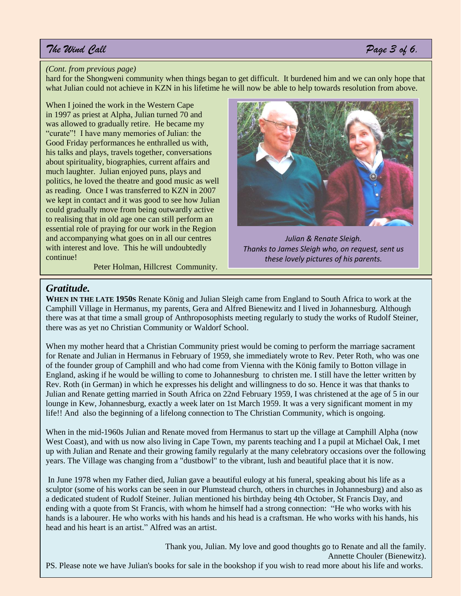## *The Wind Call Page 3 of 6.*

#### *(Cont. from previous page)*

hard for the Shongweni community when things began to get difficult. It burdened him and we can only hope that what Julian could not achieve in KZN in his lifetime he will now be able to help towards resolution from above.

When I joined the work in the Western Cape in 1997 as priest at Alpha, Julian turned 70 and was allowed to gradually retire. He became my "curate"! I have many memories of Julian: the Good Friday performances he enthralled us with, his talks and plays, travels together, conversations about spirituality, biographies, current affairs and much laughter. Julian enjoyed puns, plays and politics, he loved the theatre and good music as well as reading. Once I was transferred to KZN in 2007 we kept in contact and it was good to see how Julian could gradually move from being outwardly active to realising that in old age one can still perform an essential role of praying for our work in the Region and accompanying what goes on in all our centres with interest and love. This he will undoubtedly continue!

Peter Holman, Hillcrest Community.



*Julian & Renate Sleigh. Thanks to James Sleigh who, on request, sent us these lovely pictures of his parents.* 

#### *Gratitude.*

**WHEN IN THE LATE 1950S** Renate König and Julian Sleigh came from England to South Africa to work at the Camphill Village in Hermanus, my parents, Gera and Alfred Bienewitz and I lived in Johannesburg. Although there was at that time a small group of Anthroposophists meeting regularly to study the works of Rudolf Steiner, there was as yet no Christian Community or Waldorf School.

When my mother heard that a Christian Community priest would be coming to perform the marriage sacrament for Renate and Julian in Hermanus in February of 1959, she immediately wrote to Rev. Peter Roth, who was one of the founder group of Camphill and who had come from Vienna with the König family to Botton village in England, asking if he would be willing to come to Johannesburg to christen me. I still have the letter written by Rev. Roth (in German) in which he expresses his delight and willingness to do so. Hence it was that thanks to Julian and Renate getting married in South Africa on 22nd February 1959, I was christened at the age of 5 in our lounge in Kew, Johannesburg, exactly a week later on 1st March 1959. It was a very significant moment in my life!! And also the beginning of a lifelong connection to The Christian Community, which is ongoing.

When in the mid-1960s Julian and Renate moved from Hermanus to start up the village at Camphill Alpha (now West Coast), and with us now also living in Cape Town, my parents teaching and I a pupil at Michael Oak, I met up with Julian and Renate and their growing family regularly at the many celebratory occasions over the following years. The Village was changing from a "dustbowl" to the vibrant, lush and beautiful place that it is now.

In June 1978 when my Father died, Julian gave a beautiful eulogy at his funeral, speaking about his life as a sculptor (some of his works can be seen in our Plumstead church, others in churches in Johannesburg) and also as a dedicated student of Rudolf Steiner. Julian mentioned his birthday being 4th October, St Francis Day, and ending with a quote from St Francis, with whom he himself had a strong connection: "He who works with his hands is a labourer. He who works with his hands and his head is a craftsman. He who works with his hands, his head and his heart is an artist." Alfred was an artist.

Thank you, Julian. My love and good thoughts go to Renate and all the family. Annette Chouler (Bienewitz). PS. Please note we have Julian's books for sale in the bookshop if you wish to read more about his life and works.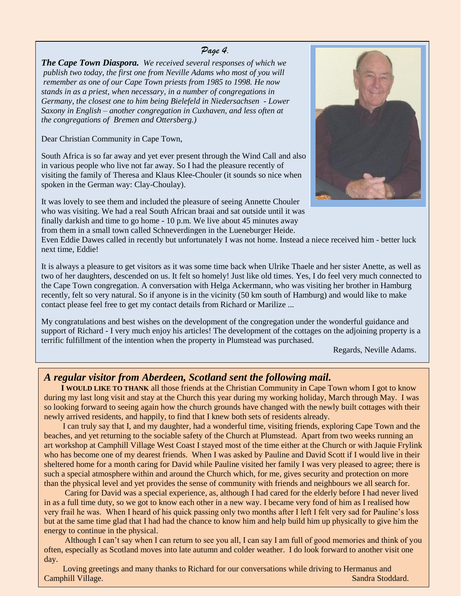#### *Page 4.*

*The Cape Town Diaspora. We received several responses of which we publish two today, the first one from Neville Adams who most of you will remember as one of our Cape Town priests from 1985 to 1998. He now stands in as a priest, when necessary, in a number of congregations in Germany, the closest one to him being Bielefeld in Niedersachsen - Lower Saxony in English – another congregation in Cuxhaven, and less often at the congregations of Bremen and Ottersberg.)*

Dear Christian Community in Cape Town,

South Africa is so far away and yet ever present through the Wind Call and also in various people who live not far away. So I had the pleasure recently of visiting the family of Theresa and Klaus Klee-Chouler (it sounds so nice when spoken in the German way: Clay-Choulay).

It was lovely to see them and included the pleasure of seeing Annette Chouler who was visiting. We had a real South African braai and sat outside until it was finally darkish and time to go home - 10 p.m. We live about 45 minutes away from them in a small town called Schneverdingen in the Lueneburger Heide.



Even Eddie Dawes called in recently but unfortunately I was not home. Instead a niece received him - better luck next time, Eddie!

It is always a pleasure to get visitors as it was some time back when Ulrike Thaele and her sister Anette, as well as two of her daughters, descended on us. It felt so homely! Just like old times. Yes, I do feel very much connected to the Cape Town congregation. A conversation with Helga Ackermann, who was visiting her brother in Hamburg recently, felt so very natural. So if anyone is in the vicinity (50 km south of Hamburg) and would like to make contact please feel free to get my contact details from Richard or Marilize ...

My congratulations and best wishes on the development of the congregation under the wonderful guidance and support of Richard - I very much enjoy his articles! The development of the cottages on the adjoining property is a terrific fulfillment of the intention when the property in Plumstead was purchased.

Regards, Neville Adams.

#### *A regular visitor from Aberdeen, Scotland sent the following mail.*

 **I WOULD LIKE TO THANK** all those friends at the Christian Community in Cape Town whom I got to know during my last long visit and stay at the Church this year during my working holiday, March through May. I was so looking forward to seeing again how the church grounds have changed with the newly built cottages with their newly arrived residents, and happily, to find that I knew both sets of residents already.

 I can truly say that I, and my daughter, had a wonderful time, visiting friends, exploring Cape Town and the beaches, and yet returning to the sociable safety of the Church at Plumstead. Apart from two weeks running an art workshop at Camphill Village West Coast I stayed most of the time either at the Church or with Jaquie Frylink who has become one of my dearest friends. When I was asked by Pauline and David Scott if I would live in their sheltered home for a month caring for David while Pauline visited her family I was very pleased to agree; there is such a special atmosphere within and around the Church which, for me, gives security and protection on more than the physical level and yet provides the sense of community with friends and neighbours we all search for.

 Caring for David was a special experience, as, although I had cared for the elderly before I had never lived in as a full time duty, so we got to know each other in a new way. I became very fond of him as I realised how very frail he was. When I heard of his quick passing only two months after I left I felt very sad for Pauline's loss but at the same time glad that I had had the chance to know him and help build him up physically to give him the energy to continue in the physical.

 Although I can't say when I can return to see you all, I can say I am full of good memories and think of you often, especially as Scotland moves into late autumn and colder weather. I do look forward to another visit one day.

 Loving greetings and many thanks to Richard for our conversations while driving to Hermanus and **Camphill Village.** Sandra Stoddard. Sandra Stoddard. Sandra Stoddard. Sandra Stoddard. i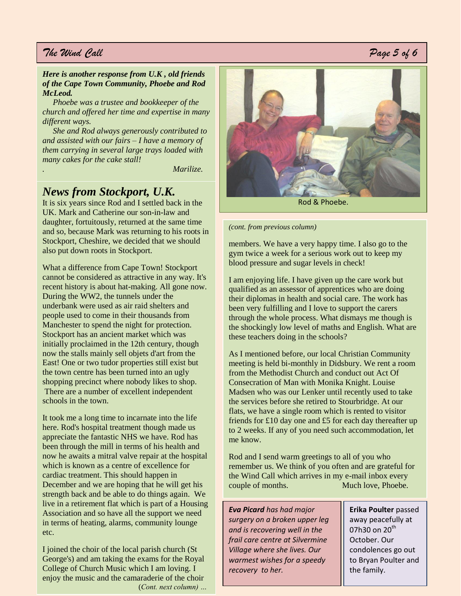#### *The Wind Call Page 5 of 6*

#### *Here is another response from U.K , old friends of the Cape Town Community, Phoebe and Rod McLeod.*

 *Phoebe was a trustee and bookkeeper of the church and offered her time and expertise in many different ways.* 

 *She and Rod always generously contributed to and assisted with our fairs – I have a memory of them carrying in several large trays loaded with many cakes for the cake stall!*

*. Marilize.*

#### *News from Stockport, U.K.*

It is six years since Rod and I settled back in the UK. Mark and Catherine our son-in-law and daughter, fortuitously, returned at the same time and so, because Mark was returning to his roots in Stockport, Cheshire, we decided that we should also put down roots in Stockport.

What a difference from Cape Town! Stockport cannot be considered as attractive in any way. It's recent history is about hat-making. All gone now. During the WW2, the tunnels under the underbank were used as air raid shelters and people used to come in their thousands from Manchester to spend the night for protection. Stockport has an ancient market which was initially proclaimed in the 12th century, though now the stalls mainly sell objets d'art from the East! One or two tudor properties still exist but the town centre has been turned into an ugly shopping precinct where nobody likes to shop. There are a number of excellent independent schools in the town.

It took me a long time to incarnate into the life here. Rod's hospital treatment though made us appreciate the fantastic NHS we have. Rod has been through the mill in terms of his health and now he awaits a mitral valve repair at the hospital which is known as a centre of excellence for cardiac treatment. This should happen in December and we are hoping that he will get his strength back and be able to do things again. We live in a retirement flat which is part of a Housing Association and so have all the support we need in terms of heating, alarms, community lounge etc.

I joined the choir of the local parish church (St George's) and am taking the exams for the Royal College of Church Music which I am loving. I enjoy the music and the camaraderie of the choir (*Cont. next column) …*



*(cont. from previous column)* 

members. We have a very happy time. I also go to the gym twice a week for a serious work out to keep my blood pressure and sugar levels in check!

I am enjoying life. I have given up the care work but qualified as an assessor of apprentices who are doing their diplomas in health and social care. The work has been very fulfilling and I love to support the carers through the whole process. What dismays me though is the shockingly low level of maths and English. What are these teachers doing in the schools?

As I mentioned before, our local Christian Community meeting is held bi-monthly in Didsbury. We rent a room from the Methodist Church and conduct out Act Of Consecration of Man with Monika Knight. Louise Madsen who was our Lenker until recently used to take the services before she retired to Stourbridge. At our flats, we have a single room which is rented to visitor friends for £10 day one and £5 for each day thereafter up to 2 weeks. If any of you need such accommodation, let me know.

Rod and I send warm greetings to all of you who remember us. We think of you often and are grateful for the Wind Call which arrives in my e-mail inbox every couple of months. Much love, Phoebe.

*Eva Picard has had major surgery on a broken upper leg and is recovering well in the frail care centre at Silvermine Village where she lives. Our warmest wishes for a speedy recovery to her.*

**Erika Poulter** passed away peacefully at 07h30 on  $20<sup>th</sup>$ October. Our condolences go out to Bryan Poulter and the family.